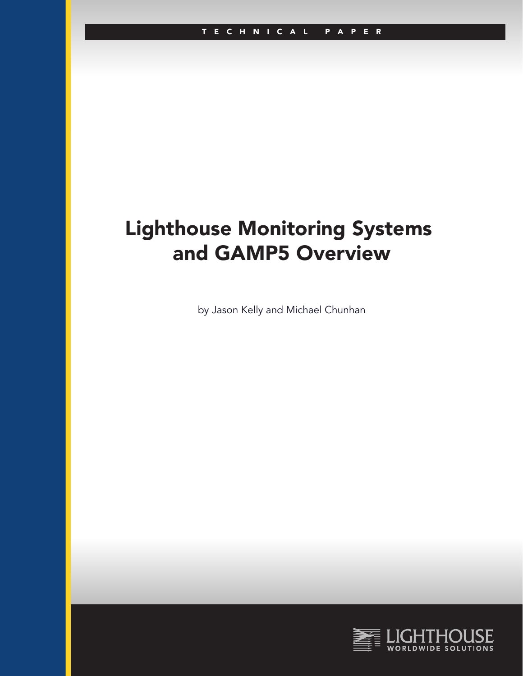# Lighthouse Monitoring Systems and GAMP5 Overview

by Jason Kelly and Michael Chunhan

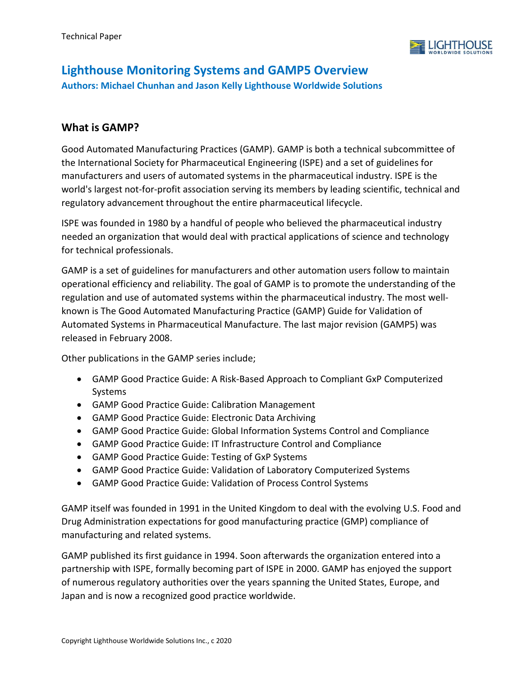

# **Lighthouse Monitoring Systems and GAMP5 Overview Authors: Michael Chunhan and Jason Kelly Lighthouse Worldwide Solutions**

## **What is GAMP?**

Good Automated Manufacturing Practices (GAMP). GAMP is both a technical subcommittee of the International Society for Pharmaceutical Engineering (ISPE) and a set of guidelines for manufacturers and users of automated systems in the pharmaceutical industry. ISPE is the world's largest not-for-profit association serving its members by leading scientific, technical and regulatory advancement throughout the entire pharmaceutical lifecycle.

ISPE was founded in 1980 by a handful of people who believed the pharmaceutical industry needed an organization that would deal with practical applications of science and technology for technical professionals.

GAMP is a set of guidelines for manufacturers and other automation users follow to maintain operational efficiency and reliability. The goal of GAMP is to promote the understanding of the regulation and use of automated systems within the pharmaceutical industry. The most wellknown is The Good Automated Manufacturing Practice (GAMP) Guide for Validation of Automated Systems in Pharmaceutical Manufacture. The last major revision (GAMP5) was released in February 2008.

Other publications in the GAMP series include;

- GAMP Good Practice Guide: A Risk-Based Approach to Compliant GxP Computerized Systems
- GAMP Good Practice Guide: Calibration Management
- GAMP Good Practice Guide: Electronic Data Archiving
- GAMP Good Practice Guide: Global Information Systems Control and Compliance
- GAMP Good Practice Guide: IT Infrastructure Control and Compliance
- GAMP Good Practice Guide: Testing of GxP Systems
- GAMP Good Practice Guide: Validation of Laboratory Computerized Systems
- GAMP Good Practice Guide: Validation of Process Control Systems

GAMP itself was founded in 1991 in the United Kingdom to deal with the evolving U.S. Food and Drug Administration expectations for good manufacturing practice (GMP) compliance of manufacturing and related systems.

GAMP published its first guidance in 1994. Soon afterwards the organization entered into a partnership with ISPE, formally becoming part of ISPE in 2000. GAMP has enjoyed the support of numerous regulatory authorities over the years spanning the United States, Europe, and Japan and is now a recognized good practice worldwide.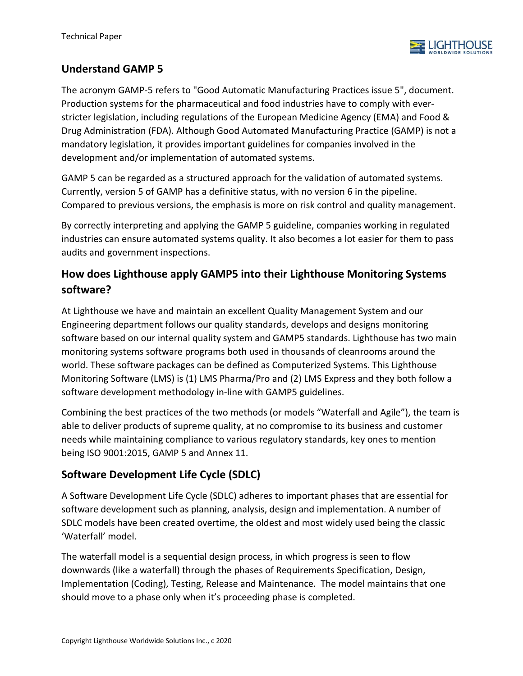

## **Understand GAMP 5**

The acronym GAMP-5 refers to "Good Automatic Manufacturing Practices issue 5", document. Production systems for the pharmaceutical and food industries have to comply with everstricter legislation, including regulations of the European Medicine Agency (EMA) and Food & Drug Administration (FDA). Although Good Automated Manufacturing Practice (GAMP) is not a mandatory legislation, it provides important guidelines for companies involved in the development and/or implementation of automated systems.

GAMP 5 can be regarded as a structured approach for the validation of automated systems. Currently, version 5 of GAMP has a definitive status, with no version 6 in the pipeline. Compared to previous versions, the emphasis is more on risk control and quality management.

By correctly interpreting and applying the GAMP 5 guideline, companies working in regulated industries can ensure automated systems quality. It also becomes a lot easier for them to pass audits and government inspections.

# **How does Lighthouse apply GAMP5 into their Lighthouse Monitoring Systems software?**

At Lighthouse we have and maintain an excellent Quality Management System and our Engineering department follows our quality standards, develops and designs monitoring software based on our internal quality system and GAMP5 standards. Lighthouse has two main monitoring systems software programs both used in thousands of cleanrooms around the world. These software packages can be defined as Computerized Systems. This Lighthouse Monitoring Software (LMS) is (1) LMS Pharma/Pro and (2) LMS Express and they both follow a software development methodology in-line with GAMP5 guidelines.

Combining the best practices of the two methods (or models "Waterfall and Agile"), the team is able to deliver products of supreme quality, at no compromise to its business and customer needs while maintaining compliance to various regulatory standards, key ones to mention being ISO 9001:2015, GAMP 5 and Annex 11.

# **Software Development Life Cycle (SDLC)**

A Software Development Life Cycle (SDLC) adheres to important phases that are essential for software development such as planning, analysis, design and implementation. A number of SDLC models have been created overtime, the oldest and most widely used being the classic 'Waterfall' model.

The waterfall model is a sequential design process, in which progress is seen to flow downwards (like a waterfall) through the phases of Requirements Specification, Design, Implementation (Coding), Testing, Release and Maintenance. The model maintains that one should move to a phase only when it's proceeding phase is completed.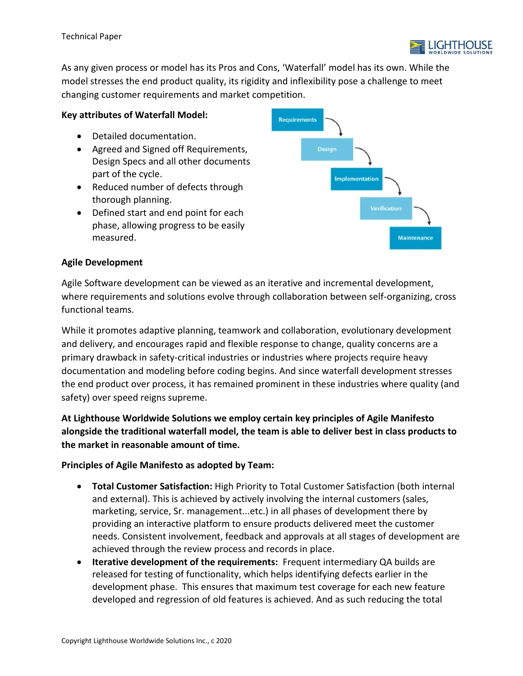

As any given process or model has its Pros and Cons, 'Waterfall' model has its own. While the model stresses the end product quality, its rigidity and inflexibility pose a challenge to meet changing customer requirements and market competition.

## **Key attributes of Waterfall Model:**

- Detailed documentation.
- Agreed and Signed off Requirements, Design Specs and all other documents part of the cycle.
- Reduced number of defects through thorough planning.
- Defined start and end point for each phase, allowing progress to be easily measured.



## **Agile Development**

Agile Software development can be viewed as an iterative and incremental development, where requirements and solutions evolve through collaboration between self-organizing, cross functional teams.

While it promotes adaptive planning, teamwork and collaboration, evolutionary development and delivery, and encourages rapid and flexible response to change, quality concerns are a primary drawback in safety-critical industries or industries where projects require heavy documentation and modeling before coding begins. And since waterfall development stresses the end product over process, it has remained prominent in these industries where quality (and safety) over speed reigns supreme.

**At Lighthouse Worldwide Solutions we employ certain key principles of Agile Manifesto alongside the traditional waterfall model, the team is able to deliver best in class products to the market in reasonable amount of time.**

## **Principles of Agile Manifesto as adopted by Team:**

- **Total Customer Satisfaction:** High Priority to Total Customer Satisfaction (both internal and external). This is achieved by actively involving the internal customers (sales, marketing, service, Sr. management...etc.) in all phases of development there by providing an interactive platform to ensure products delivered meet the customer needs. Consistent involvement, feedback and approvals at all stages of development are achieved through the review process and records in place.
- **Iterative development of the requirements:** Frequent intermediary QA builds are released for testing of functionality, which helps identifying defects earlier in the development phase. This ensures that maximum test coverage for each new feature developed and regression of old features is achieved. And as such reducing the total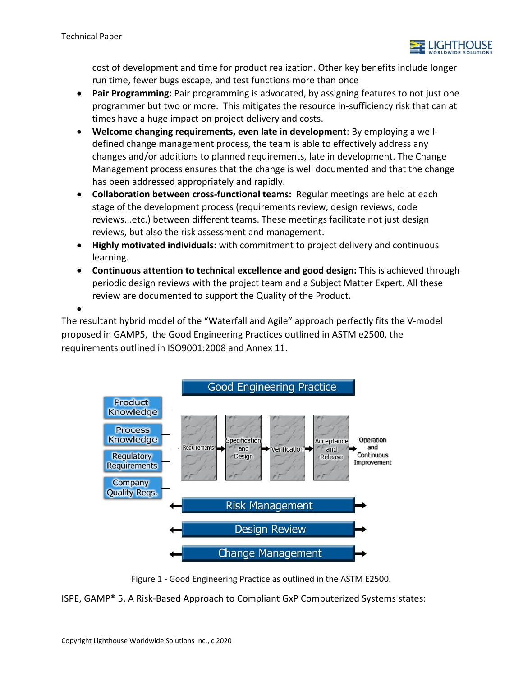•



cost of development and time for product realization. Other key benefits include longer run time, fewer bugs escape, and test functions more than once

- **Pair Programming:** Pair programming is advocated, by assigning features to not just one programmer but two or more. This mitigates the resource in-sufficiency risk that can at times have a huge impact on project delivery and costs.
- **Welcome changing requirements, even late in development**: By employing a welldefined change management process, the team is able to effectively address any changes and/or additions to planned requirements, late in development. The Change Management process ensures that the change is well documented and that the change has been addressed appropriately and rapidly.
- **Collaboration between cross-functional teams:** Regular meetings are held at each stage of the development process (requirements review, design reviews, code reviews...etc.) between different teams. These meetings facilitate not just design reviews, but also the risk assessment and management.
- **Highly motivated individuals:** with commitment to project delivery and continuous learning.
- **Continuous attention to technical excellence and good design:** This is achieved through periodic design reviews with the project team and a Subject Matter Expert. All these review are documented to support the Quality of the Product.

The resultant hybrid model of the "Waterfall and Agile" approach perfectly fits the V-model proposed in GAMP5, the Good Engineering Practices outlined in ASTM e2500, the requirements outlined in ISO9001:2008 and Annex 11.



Figure 1 - Good Engineering Practice as outlined in the ASTM E2500.

ISPE, GAMP® 5, A Risk-Based Approach to Compliant GxP Computerized Systems states: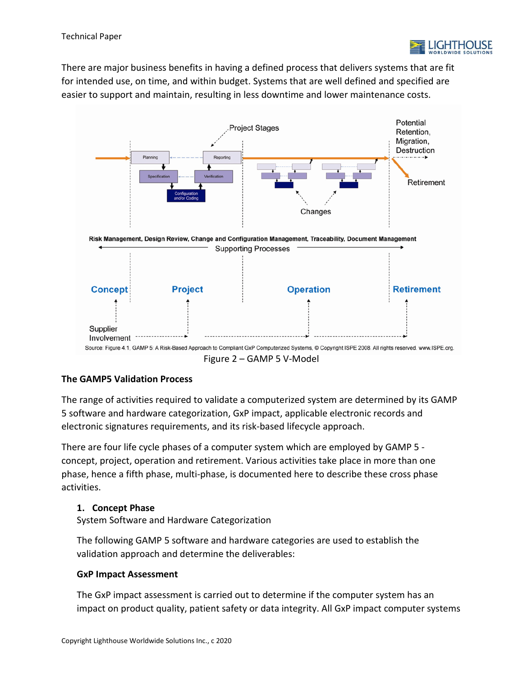

There are major business benefits in having a defined process that delivers systems that are fit for intended use, on time, and within budget. Systems that are well defined and specified are easier to support and maintain, resulting in less downtime and lower maintenance costs.



## **The GAMP5 Validation Process**

The range of activities required to validate a computerized system are determined by its GAMP 5 software and hardware categorization, GxP impact, applicable electronic records and electronic signatures requirements, and its risk-based lifecycle approach.

There are four life cycle phases of a computer system which are employed by GAMP 5 concept, project, operation and retirement. Various activities take place in more than one phase, hence a fifth phase, multi-phase, is documented here to describe these cross phase activities.

## **1. Concept Phase**

System Software and Hardware Categorization

The following GAMP 5 software and hardware categories are used to establish the validation approach and determine the deliverables:

## **GxP Impact Assessment**

The GxP impact assessment is carried out to determine if the computer system has an impact on product quality, patient safety or data integrity. All GxP impact computer systems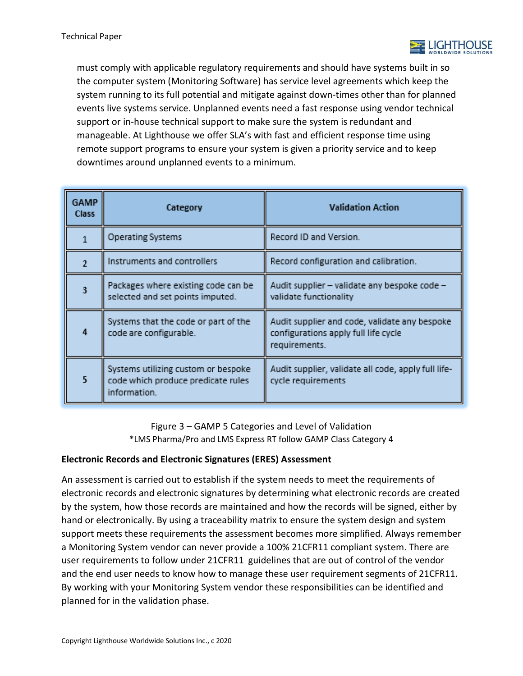

must comply with applicable regulatory requirements and should have systems built in so the computer system (Monitoring Software) has service level agreements which keep the system running to its full potential and mitigate against down-times other than for planned events live systems service. Unplanned events need a fast response using vendor technical support or in-house technical support to make sure the system is redundant and manageable. At Lighthouse we offer SLA's with fast and efficient response time using remote support programs to ensure your system is given a priority service and to keep downtimes around unplanned events to a minimum.

| <b>GAMP</b><br><b>Class</b> | Category                                                                                  | <b>Validation Action</b>                                                                               |
|-----------------------------|-------------------------------------------------------------------------------------------|--------------------------------------------------------------------------------------------------------|
| 1                           | <b>Operating Systems</b>                                                                  | Record ID and Version.                                                                                 |
| $\overline{2}$              | Instruments and controllers                                                               | Record configuration and calibration.                                                                  |
| 3                           | Packages where existing code can be<br>selected and set points imputed.                   | Audit supplier - validate any bespoke code -<br>validate functionality                                 |
| 4                           | Systems that the code or part of the<br>code are configurable.                            | Audit supplier and code, validate any bespoke<br>configurations apply full life cycle<br>requirements. |
| $5\phantom{a}$              | Systems utilizing custom or bespoke<br>code which produce predicate rules<br>information. | Audit supplier, validate all code, apply full life-<br>cycle requirements                              |

Figure 3 – GAMP 5 Categories and Level of Validation \*LMS Pharma/Pro and LMS Express RT follow GAMP Class Category 4

## **Electronic Records and Electronic Signatures (ERES) Assessment**

An assessment is carried out to establish if the system needs to meet the requirements of electronic records and electronic signatures by determining what electronic records are created by the system, how those records are maintained and how the records will be signed, either by hand or electronically. By using a traceability matrix to ensure the system design and system support meets these requirements the assessment becomes more simplified. Always remember a Monitoring System vendor can never provide a 100% 21CFR11 compliant system. There are user requirements to follow under 21CFR11 guidelines that are out of control of the vendor and the end user needs to know how to manage these user requirement segments of 21CFR11. By working with your Monitoring System vendor these responsibilities can be identified and planned for in the validation phase.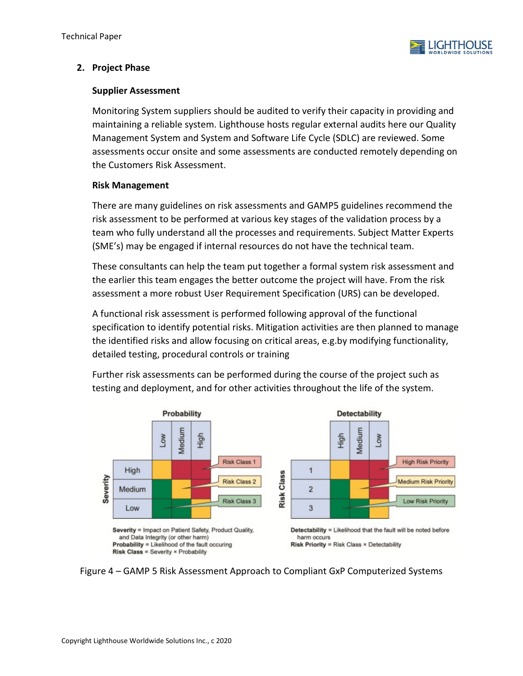

## **2. Project Phase**

## **Supplier Assessment**

Monitoring System suppliers should be audited to verify their capacity in providing and maintaining a reliable system. Lighthouse hosts regular external audits here our Quality Management System and System and Software Life Cycle (SDLC) are reviewed. Some assessments occur onsite and some assessments are conducted remotely depending on the Customers Risk Assessment.

## **Risk Management**

There are many guidelines on risk assessments and GAMP5 guidelines recommend the risk assessment to be performed at various key stages of the validation process by a team who fully understand all the processes and requirements. Subject Matter Experts (SME's) may be engaged if internal resources do not have the technical team.

These consultants can help the team put together a formal system risk assessment and the earlier this team engages the better outcome the project will have. From the risk assessment a more robust User Requirement Specification (URS) can be developed.

A functional risk assessment is performed following approval of the functional specification to identify potential risks. Mitigation activities are then planned to manage the identified risks and allow focusing on critical areas, e.g.by modifying functionality, detailed testing, procedural controls or training



Further risk assessments can be performed during the course of the project such as testing and deployment, and for other activities throughout the life of the system.

Figure 4 – GAMP 5 Risk Assessment Approach to Compliant GxP Computerized Systems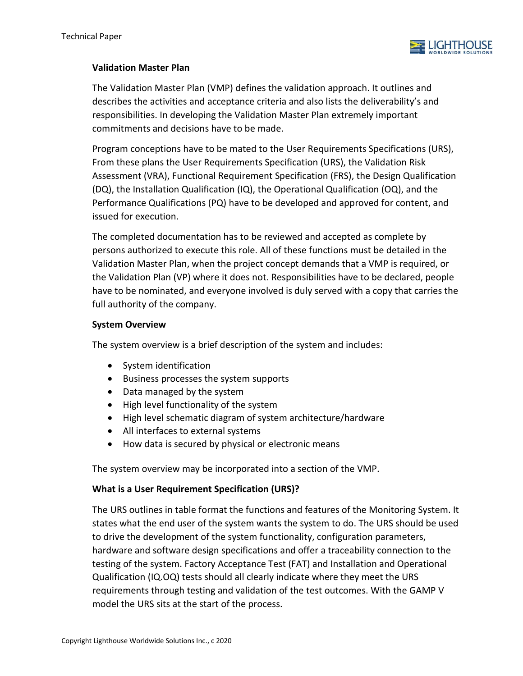

## **Validation Master Plan**

The Validation Master Plan (VMP) defines the validation approach. It outlines and describes the activities and acceptance criteria and also lists the deliverability's and responsibilities. In developing the Validation Master Plan extremely important commitments and decisions have to be made.

Program conceptions have to be mated to the User Requirements Specifications (URS), From these plans the User Requirements Specification (URS), the Validation Risk Assessment (VRA), Functional Requirement Specification (FRS), the Design Qualification (DQ), the Installation Qualification (IQ), the Operational Qualification (OQ), and the Performance Qualifications (PQ) have to be developed and approved for content, and issued for execution.

The completed documentation has to be reviewed and accepted as complete by persons authorized to execute this role. All of these functions must be detailed in the Validation Master Plan, when the project concept demands that a VMP is required, or the Validation Plan (VP) where it does not. Responsibilities have to be declared, people have to be nominated, and everyone involved is duly served with a copy that carries the full authority of the company.

## **System Overview**

The system overview is a brief description of the system and includes:

- System identification
- Business processes the system supports
- Data managed by the system
- High level functionality of the system
- High level schematic diagram of system architecture/hardware
- All interfaces to external systems
- How data is secured by physical or electronic means

The system overview may be incorporated into a section of the VMP.

#### **What is a User Requirement Specification (URS)?**

The URS outlines in table format the functions and features of the Monitoring System. It states what the end user of the system wants the system to do. The URS should be used to drive the development of the system functionality, configuration parameters, hardware and software design specifications and offer a traceability connection to the testing of the system. Factory Acceptance Test (FAT) and Installation and Operational Qualification (IQ.OQ) tests should all clearly indicate where they meet the URS requirements through testing and validation of the test outcomes. With the GAMP V model the URS sits at the start of the process.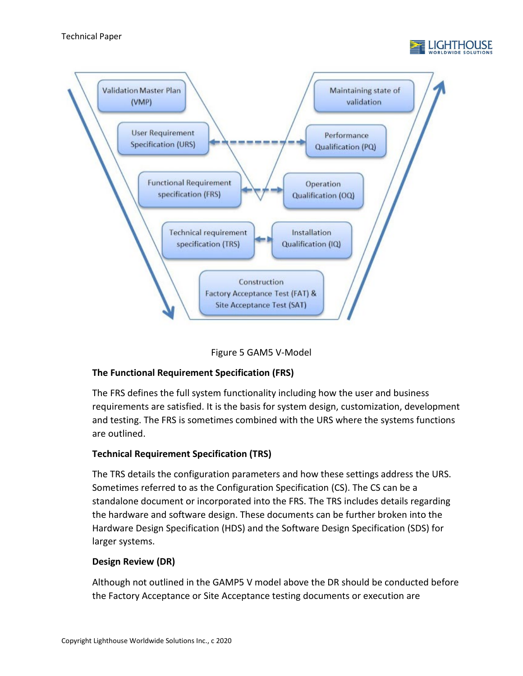





## **The Functional Requirement Specification (FRS)**

The FRS defines the full system functionality including how the user and business requirements are satisfied. It is the basis for system design, customization, development and testing. The FRS is sometimes combined with the URS where the systems functions are outlined.

## **Technical Requirement Specification (TRS)**

The TRS details the configuration parameters and how these settings address the URS. Sometimes referred to as the Configuration Specification (CS). The CS can be a standalone document or incorporated into the FRS. The TRS includes details regarding the hardware and software design. These documents can be further broken into the Hardware Design Specification (HDS) and the Software Design Specification (SDS) for larger systems.

## **Design Review (DR)**

Although not outlined in the GAMP5 V model above the DR should be conducted before the Factory Acceptance or Site Acceptance testing documents or execution are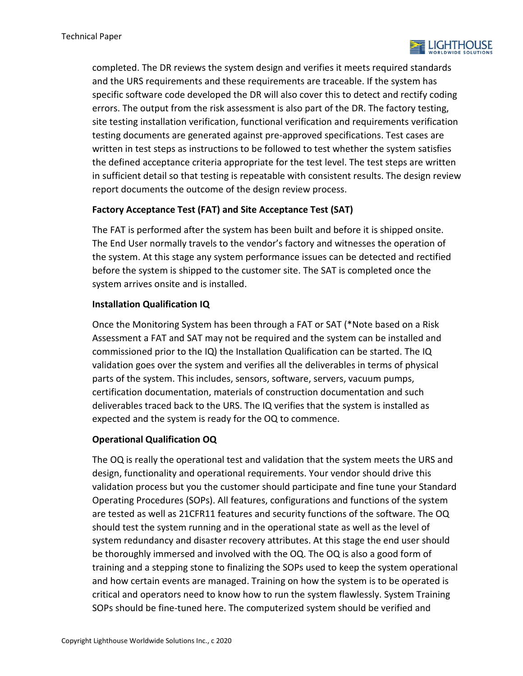

completed. The DR reviews the system design and verifies it meets required standards and the URS requirements and these requirements are traceable. If the system has specific software code developed the DR will also cover this to detect and rectify coding errors. The output from the risk assessment is also part of the DR. The factory testing, site testing installation verification, functional verification and requirements verification testing documents are generated against pre-approved specifications. Test cases are written in test steps as instructions to be followed to test whether the system satisfies the defined acceptance criteria appropriate for the test level. The test steps are written in sufficient detail so that testing is repeatable with consistent results. The design review report documents the outcome of the design review process.

## **Factory Acceptance Test (FAT) and Site Acceptance Test (SAT)**

The FAT is performed after the system has been built and before it is shipped onsite. The End User normally travels to the vendor's factory and witnesses the operation of the system. At this stage any system performance issues can be detected and rectified before the system is shipped to the customer site. The SAT is completed once the system arrives onsite and is installed.

## **Installation Qualification IQ**

Once the Monitoring System has been through a FAT or SAT (\*Note based on a Risk Assessment a FAT and SAT may not be required and the system can be installed and commissioned prior to the IQ) the Installation Qualification can be started. The IQ validation goes over the system and verifies all the deliverables in terms of physical parts of the system. This includes, sensors, software, servers, vacuum pumps, certification documentation, materials of construction documentation and such deliverables traced back to the URS. The IQ verifies that the system is installed as expected and the system is ready for the OQ to commence.

## **Operational Qualification OQ**

The OQ is really the operational test and validation that the system meets the URS and design, functionality and operational requirements. Your vendor should drive this validation process but you the customer should participate and fine tune your Standard Operating Procedures (SOPs). All features, configurations and functions of the system are tested as well as 21CFR11 features and security functions of the software. The OQ should test the system running and in the operational state as well as the level of system redundancy and disaster recovery attributes. At this stage the end user should be thoroughly immersed and involved with the OQ. The OQ is also a good form of training and a stepping stone to finalizing the SOPs used to keep the system operational and how certain events are managed. Training on how the system is to be operated is critical and operators need to know how to run the system flawlessly. System Training SOPs should be fine-tuned here. The computerized system should be verified and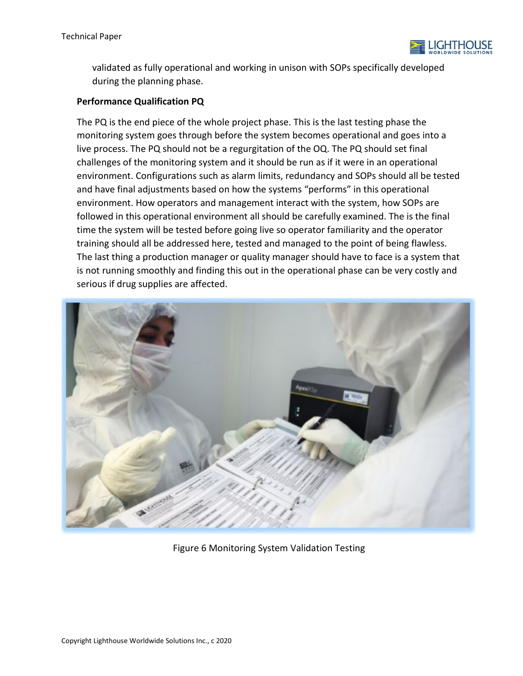

validated as fully operational and working in unison with SOPs specifically developed during the planning phase.

## **Performance Qualification PQ**

The PQ is the end piece of the whole project phase. This is the last testing phase the monitoring system goes through before the system becomes operational and goes into a live process. The PQ should not be a regurgitation of the OQ. The PQ should set final challenges of the monitoring system and it should be run as if it were in an operational environment. Configurations such as alarm limits, redundancy and SOPs should all be tested and have final adjustments based on how the systems "performs" in this operational environment. How operators and management interact with the system, how SOPs are followed in this operational environment all should be carefully examined. The is the final time the system will be tested before going live so operator familiarity and the operator training should all be addressed here, tested and managed to the point of being flawless. The last thing a production manager or quality manager should have to face is a system that is not running smoothly and finding this out in the operational phase can be very costly and serious if drug supplies are affected.



Figure 6 Monitoring System Validation Testing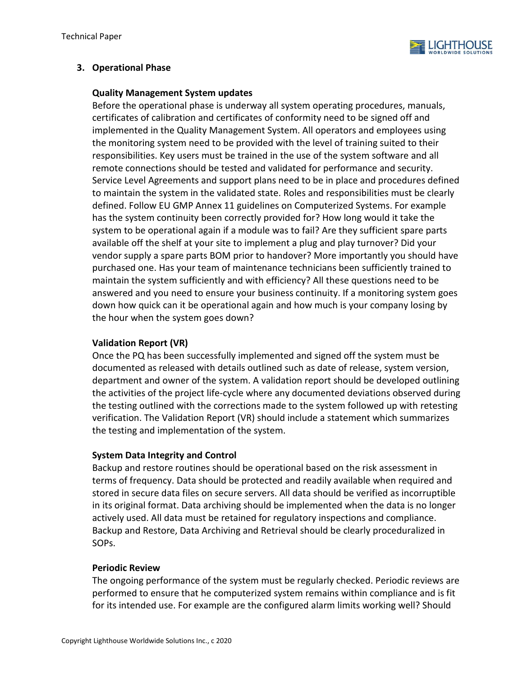

## **3. Operational Phase**

#### **Quality Management System updates**

Before the operational phase is underway all system operating procedures, manuals, certificates of calibration and certificates of conformity need to be signed off and implemented in the Quality Management System. All operators and employees using the monitoring system need to be provided with the level of training suited to their responsibilities. Key users must be trained in the use of the system software and all remote connections should be tested and validated for performance and security. Service Level Agreements and support plans need to be in place and procedures defined to maintain the system in the validated state. Roles and responsibilities must be clearly defined. Follow EU GMP Annex 11 guidelines on Computerized Systems. For example has the system continuity been correctly provided for? How long would it take the system to be operational again if a module was to fail? Are they sufficient spare parts available off the shelf at your site to implement a plug and play turnover? Did your vendor supply a spare parts BOM prior to handover? More importantly you should have purchased one. Has your team of maintenance technicians been sufficiently trained to maintain the system sufficiently and with efficiency? All these questions need to be answered and you need to ensure your business continuity. If a monitoring system goes down how quick can it be operational again and how much is your company losing by the hour when the system goes down?

## **Validation Report (VR)**

Once the PQ has been successfully implemented and signed off the system must be documented as released with details outlined such as date of release, system version, department and owner of the system. A validation report should be developed outlining the activities of the project life-cycle where any documented deviations observed during the testing outlined with the corrections made to the system followed up with retesting verification. The Validation Report (VR) should include a statement which summarizes the testing and implementation of the system.

## **System Data Integrity and Control**

Backup and restore routines should be operational based on the risk assessment in terms of frequency. Data should be protected and readily available when required and stored in secure data files on secure servers. All data should be verified as incorruptible in its original format. Data archiving should be implemented when the data is no longer actively used. All data must be retained for regulatory inspections and compliance. Backup and Restore, Data Archiving and Retrieval should be clearly proceduralized in SOPs.

#### **Periodic Review**

The ongoing performance of the system must be regularly checked. Periodic reviews are performed to ensure that he computerized system remains within compliance and is fit for its intended use. For example are the configured alarm limits working well? Should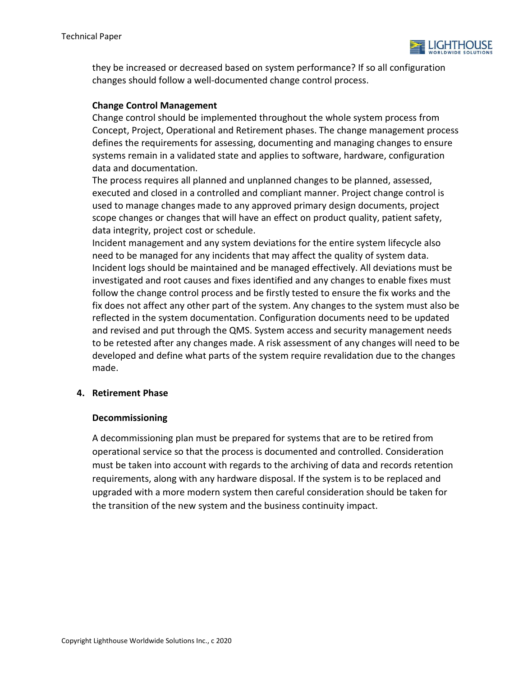

they be increased or decreased based on system performance? If so all configuration changes should follow a well-documented change control process.

## **Change Control Management**

Change control should be implemented throughout the whole system process from Concept, Project, Operational and Retirement phases. The change management process defines the requirements for assessing, documenting and managing changes to ensure systems remain in a validated state and applies to software, hardware, configuration data and documentation.

The process requires all planned and unplanned changes to be planned, assessed, executed and closed in a controlled and compliant manner. Project change control is used to manage changes made to any approved primary design documents, project scope changes or changes that will have an effect on product quality, patient safety, data integrity, project cost or schedule.

Incident management and any system deviations for the entire system lifecycle also need to be managed for any incidents that may affect the quality of system data. Incident logs should be maintained and be managed effectively. All deviations must be investigated and root causes and fixes identified and any changes to enable fixes must follow the change control process and be firstly tested to ensure the fix works and the fix does not affect any other part of the system. Any changes to the system must also be reflected in the system documentation. Configuration documents need to be updated and revised and put through the QMS. System access and security management needs to be retested after any changes made. A risk assessment of any changes will need to be developed and define what parts of the system require revalidation due to the changes made.

#### **4. Retirement Phase**

#### **Decommissioning**

A decommissioning plan must be prepared for systems that are to be retired from operational service so that the process is documented and controlled. Consideration must be taken into account with regards to the archiving of data and records retention requirements, along with any hardware disposal. If the system is to be replaced and upgraded with a more modern system then careful consideration should be taken for the transition of the new system and the business continuity impact.